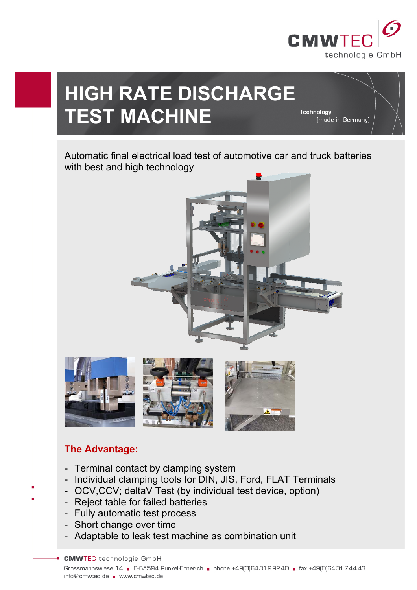

[made in Germany]

Technology

# **HIGH RATE DISCHARGE TEST MACHINE**

Automatic final electrical load test of automotive car and truck batteries



# **The Advantage:**

- Terminal contact by clamping system
- Individual clamping tools for DIN, JIS, Ford, FLAT Terminals
- OCV,CCV; deltaV Test (by individual test device, option)
- Reject table for failed batteries
- Fully automatic test process
- Short change over time
- Adaptable to leak test machine as combination unit